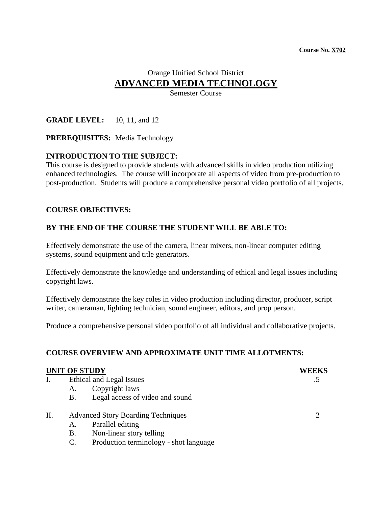# Orange Unified School District **ADVANCED MEDIA TECHNOLOGY**

Semester Course

**GRADE LEVEL:** 10, 11, and 12

**PREREQUISITES:** Media Technology

# **INTRODUCTION TO THE SUBJECT:**

This course is designed to provide students with advanced skills in video production utilizing enhanced technologies. The course will incorporate all aspects of video from pre-production to post-production. Students will produce a comprehensive personal video portfolio of all projects.

### **COURSE OBJECTIVES:**

### **BY THE END OF THE COURSE THE STUDENT WILL BE ABLE TO:**

Effectively demonstrate the use of the camera, linear mixers, non-linear computer editing systems, sound equipment and title generators.

Effectively demonstrate the knowledge and understanding of ethical and legal issues including copyright laws.

Effectively demonstrate the key roles in video production including director, producer, script writer, cameraman, lighting technician, sound engineer, editors, and prop person.

Produce a comprehensive personal video portfolio of all individual and collaborative projects.

# **COURSE OVERVIEW AND APPROXIMATE UNIT TIME ALLOTMENTS:**

#### **UNIT OF STUDY WEEKS**

- I. Ethical and Legal Issues .5
	- A. Copyright laws
	- B. Legal access of video and sound
- II. Advanced Story Boarding Techniques 2
	- A. Parallel editing
	- B. Non-linear story telling
	- C. Production terminology shot language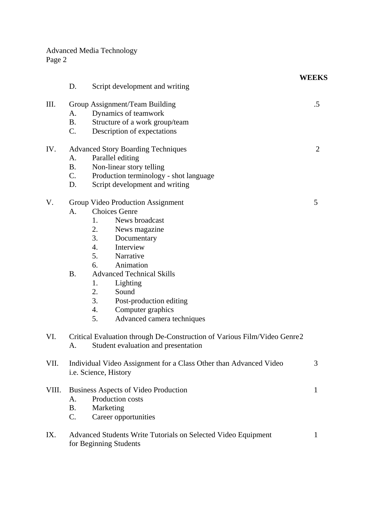Advanced Media Technology Page 2

|       |                             |                                                                                                                                                                                                                                                                                                                                                             | <b>WEEKS</b> |
|-------|-----------------------------|-------------------------------------------------------------------------------------------------------------------------------------------------------------------------------------------------------------------------------------------------------------------------------------------------------------------------------------------------------------|--------------|
|       | D.                          | Script development and writing                                                                                                                                                                                                                                                                                                                              |              |
| III.  | А.<br><b>B.</b><br>C.       | Group Assignment/Team Building<br>Dynamics of teamwork<br>Structure of a work group/team<br>Description of expectations                                                                                                                                                                                                                                     | $.5\,$       |
| IV.   | A.<br><b>B.</b><br>C.<br>D. | <b>Advanced Story Boarding Techniques</b><br>Parallel editing<br>Non-linear story telling<br>Production terminology - shot language<br>Script development and writing                                                                                                                                                                                       | 2            |
| V.    | A.<br><b>B.</b>             | Group Video Production Assignment<br><b>Choices Genre</b><br>News broadcast<br>1.<br>2.<br>News magazine<br>3.<br>Documentary<br>4.<br>Interview<br>5.<br>Narrative<br>Animation<br>6.<br><b>Advanced Technical Skills</b><br>Lighting<br>1.<br>2.<br>Sound<br>3.<br>Post-production editing<br>Computer graphics<br>4.<br>Advanced camera techniques<br>5. | 5            |
| VI.   | A.                          | Critical Evaluation through De-Construction of Various Film/Video Genre2<br>Student evaluation and presentation                                                                                                                                                                                                                                             |              |
| VII.  |                             | Individual Video Assignment for a Class Other than Advanced Video<br>i.e. Science, History                                                                                                                                                                                                                                                                  | 3            |
| VIII. | A.<br><b>B.</b><br>C.       | Business Aspects of Video Production<br>Production costs<br>Marketing<br>Career opportunities                                                                                                                                                                                                                                                               | 1            |
| IX.   |                             | Advanced Students Write Tutorials on Selected Video Equipment<br>for Beginning Students                                                                                                                                                                                                                                                                     | 1            |